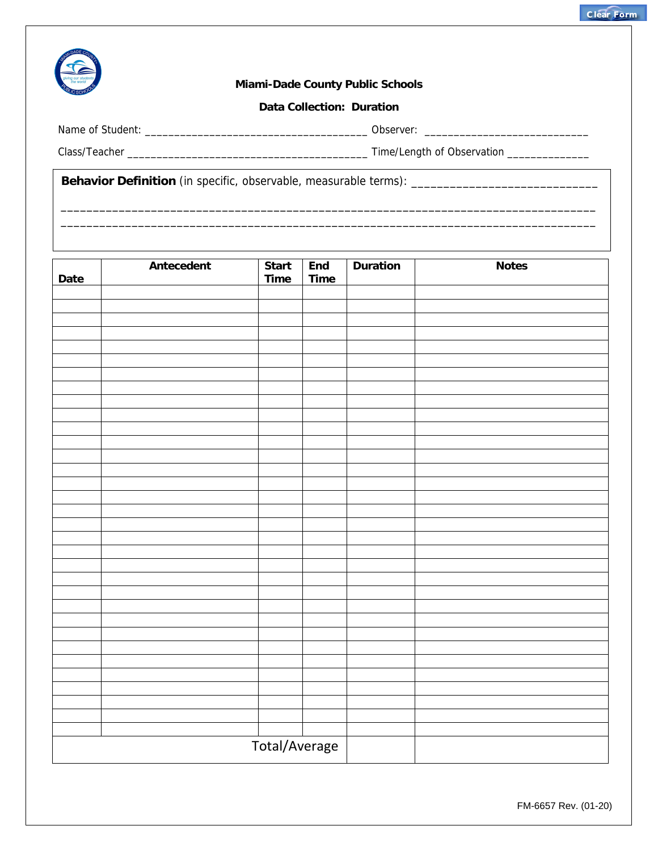

## **Miami-Dade County Public Schools**

## **Data Collection: Duration**

Name of Student: \_\_\_\_\_\_\_\_\_\_\_\_\_\_\_\_\_\_\_\_\_\_\_\_\_\_\_\_\_\_\_\_\_\_\_\_\_\_ Observer: \_\_\_\_\_\_\_\_\_\_\_\_\_\_\_\_\_\_\_\_\_\_\_\_\_\_\_\_

Class/Teacher \_\_\_\_\_\_\_\_\_\_\_\_\_\_\_\_\_\_\_\_\_\_\_\_\_\_\_\_\_\_\_\_\_\_\_\_\_\_\_\_\_ Time/Length of Observation \_\_\_\_\_\_\_\_\_\_\_\_\_\_

 $\frac{1}{2}$  ,  $\frac{1}{2}$  ,  $\frac{1}{2}$  ,  $\frac{1}{2}$  ,  $\frac{1}{2}$  ,  $\frac{1}{2}$  ,  $\frac{1}{2}$  ,  $\frac{1}{2}$  ,  $\frac{1}{2}$  ,  $\frac{1}{2}$  ,  $\frac{1}{2}$  ,  $\frac{1}{2}$  ,  $\frac{1}{2}$  ,  $\frac{1}{2}$  ,  $\frac{1}{2}$  ,  $\frac{1}{2}$  ,  $\frac{1}{2}$  ,  $\frac{1}{2}$  ,  $\frac{1$ 

**Behavior Definition** (in specific, observable, measurable terms): \_\_\_\_\_\_\_\_\_\_\_\_\_\_\_\_\_\_\_\_\_\_\_\_\_\_\_\_\_

| Date | Antecedent | Start<br>Time | End<br><b>Time</b> | <b>Duration</b> | <b>Notes</b> |
|------|------------|---------------|--------------------|-----------------|--------------|
|      |            |               |                    |                 |              |
|      |            |               |                    |                 |              |
|      |            |               |                    |                 |              |
|      |            |               |                    |                 |              |
|      |            |               |                    |                 |              |
|      |            |               |                    |                 |              |
|      |            |               |                    |                 |              |
|      |            |               |                    |                 |              |
|      |            |               |                    |                 |              |
|      |            |               |                    |                 |              |
|      |            |               |                    |                 |              |
|      |            |               |                    |                 |              |
|      |            |               |                    |                 |              |
|      |            |               |                    |                 |              |
|      |            |               |                    |                 |              |
|      |            |               |                    |                 |              |
|      |            |               |                    |                 |              |
|      |            |               |                    |                 |              |
|      |            |               |                    |                 |              |
|      |            |               |                    |                 |              |
|      |            |               |                    |                 |              |
|      |            |               |                    |                 |              |
|      |            |               |                    |                 |              |
|      |            |               |                    |                 |              |
|      |            |               |                    |                 |              |
|      |            |               |                    |                 |              |
|      |            |               |                    |                 |              |
|      |            |               |                    |                 |              |
|      |            |               |                    |                 |              |
|      |            |               |                    |                 |              |
|      |            |               |                    |                 |              |
|      |            |               |                    |                 |              |
|      |            | Total/Average |                    |                 |              |